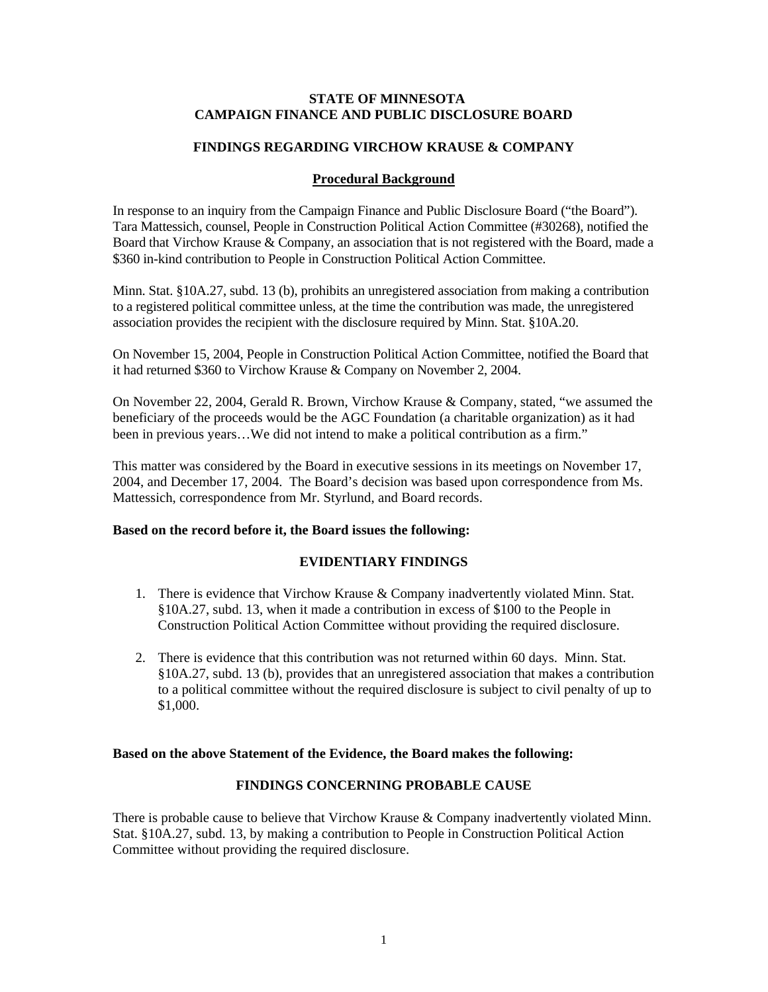## **STATE OF MINNESOTA CAMPAIGN FINANCE AND PUBLIC DISCLOSURE BOARD**

### **FINDINGS REGARDING VIRCHOW KRAUSE & COMPANY**

### **Procedural Background**

In response to an inquiry from the Campaign Finance and Public Disclosure Board ("the Board"). Tara Mattessich, counsel, People in Construction Political Action Committee (#30268), notified the Board that Virchow Krause & Company, an association that is not registered with the Board, made a \$360 in-kind contribution to People in Construction Political Action Committee.

Minn. Stat. §10A.27, subd. 13 (b), prohibits an unregistered association from making a contribution to a registered political committee unless, at the time the contribution was made, the unregistered association provides the recipient with the disclosure required by Minn. Stat. §10A.20.

On November 15, 2004, People in Construction Political Action Committee, notified the Board that it had returned \$360 to Virchow Krause & Company on November 2, 2004.

On November 22, 2004, Gerald R. Brown, Virchow Krause & Company, stated, "we assumed the beneficiary of the proceeds would be the AGC Foundation (a charitable organization) as it had been in previous years…We did not intend to make a political contribution as a firm."

This matter was considered by the Board in executive sessions in its meetings on November 17, 2004, and December 17, 2004. The Board's decision was based upon correspondence from Ms. Mattessich, correspondence from Mr. Styrlund, and Board records.

## **Based on the record before it, the Board issues the following:**

#### **EVIDENTIARY FINDINGS**

- 1. There is evidence that Virchow Krause & Company inadvertently violated Minn. Stat. §10A.27, subd. 13, when it made a contribution in excess of \$100 to the People in Construction Political Action Committee without providing the required disclosure.
- 2. There is evidence that this contribution was not returned within 60 days. Minn. Stat. §10A.27, subd. 13 (b), provides that an unregistered association that makes a contribution to a political committee without the required disclosure is subject to civil penalty of up to \$1,000.

#### **Based on the above Statement of the Evidence, the Board makes the following:**

# **FINDINGS CONCERNING PROBABLE CAUSE**

There is probable cause to believe that Virchow Krause & Company inadvertently violated Minn. Stat. §10A.27, subd. 13, by making a contribution to People in Construction Political Action Committee without providing the required disclosure.